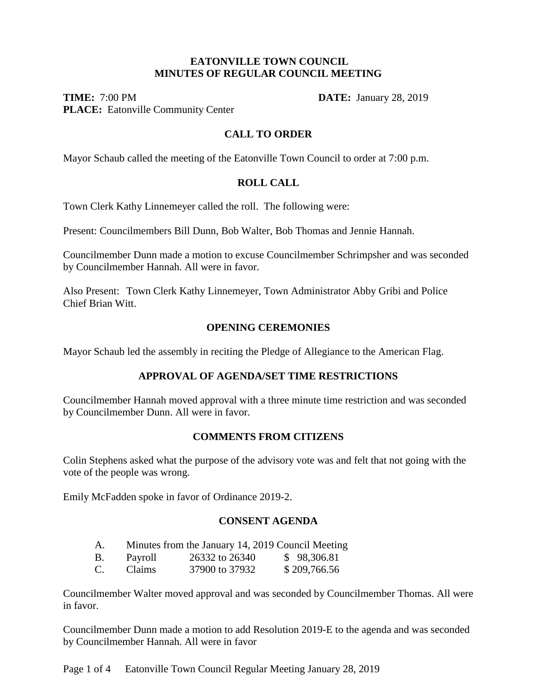## **EATONVILLE TOWN COUNCIL MINUTES OF REGULAR COUNCIL MEETING**

**TIME:** 7:00 PM **DATE:** January 28, 2019 **PLACE:** Eatonville Community Center

## **CALL TO ORDER**

Mayor Schaub called the meeting of the Eatonville Town Council to order at 7:00 p.m.

## **ROLL CALL**

Town Clerk Kathy Linnemeyer called the roll. The following were:

Present: Councilmembers Bill Dunn, Bob Walter, Bob Thomas and Jennie Hannah.

Councilmember Dunn made a motion to excuse Councilmember Schrimpsher and was seconded by Councilmember Hannah. All were in favor.

Also Present: Town Clerk Kathy Linnemeyer, Town Administrator Abby Gribi and Police Chief Brian Witt.

## **OPENING CEREMONIES**

Mayor Schaub led the assembly in reciting the Pledge of Allegiance to the American Flag.

## **APPROVAL OF AGENDA/SET TIME RESTRICTIONS**

Councilmember Hannah moved approval with a three minute time restriction and was seconded by Councilmember Dunn. All were in favor.

#### **COMMENTS FROM CITIZENS**

Colin Stephens asked what the purpose of the advisory vote was and felt that not going with the vote of the people was wrong.

Emily McFadden spoke in favor of Ordinance 2019-2.

# **CONSENT AGENDA**

| A. |  |  | Minutes from the January 14, 2019 Council Meeting |
|----|--|--|---------------------------------------------------|
|----|--|--|---------------------------------------------------|

| Β.      | Payroll | 26332 to 26340 | \$98,306.81  |
|---------|---------|----------------|--------------|
| ⌒<br>Ć. | Claims  | 37900 to 37932 | \$209,766.56 |

Councilmember Walter moved approval and was seconded by Councilmember Thomas. All were in favor.

Councilmember Dunn made a motion to add Resolution 2019-E to the agenda and was seconded by Councilmember Hannah. All were in favor

Page 1 of 4 Eatonville Town Council Regular Meeting January 28, 2019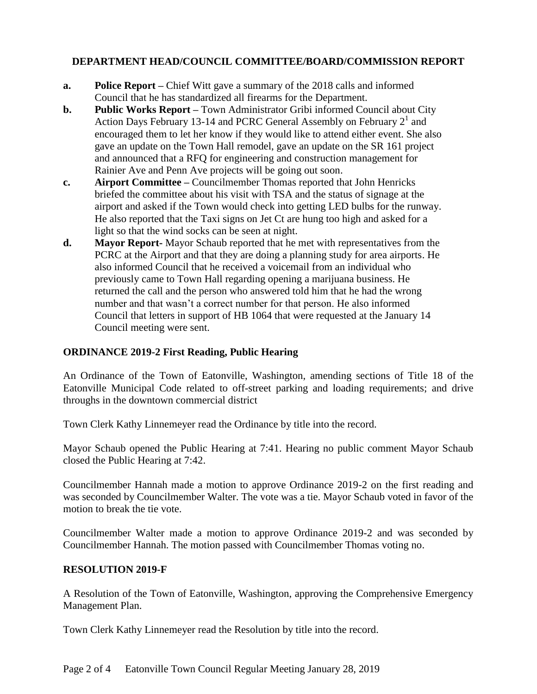# **DEPARTMENT HEAD/COUNCIL COMMITTEE/BOARD/COMMISSION REPORT**

- **a. Police Report –** Chief Witt gave a summary of the 2018 calls and informed Council that he has standardized all firearms for the Department.
- **b. Public Works Report –** Town Administrator Gribi informed Council about City Action Days February 13-14 and PCRC General Assembly on February  $2<sup>1</sup>$  and encouraged them to let her know if they would like to attend either event. She also gave an update on the Town Hall remodel, gave an update on the SR 161 project and announced that a RFQ for engineering and construction management for Rainier Ave and Penn Ave projects will be going out soon.
- **c. Airport Committee –** Councilmember Thomas reported that John Henricks briefed the committee about his visit with TSA and the status of signage at the airport and asked if the Town would check into getting LED bulbs for the runway. He also reported that the Taxi signs on Jet Ct are hung too high and asked for a light so that the wind socks can be seen at night.
- **d. Mayor Report-** Mayor Schaub reported that he met with representatives from the PCRC at the Airport and that they are doing a planning study for area airports. He also informed Council that he received a voicemail from an individual who previously came to Town Hall regarding opening a marijuana business. He returned the call and the person who answered told him that he had the wrong number and that wasn't a correct number for that person. He also informed Council that letters in support of HB 1064 that were requested at the January 14 Council meeting were sent.

## **ORDINANCE 2019-2 First Reading, Public Hearing**

An Ordinance of the Town of Eatonville, Washington, amending sections of Title 18 of the Eatonville Municipal Code related to off-street parking and loading requirements; and drive throughs in the downtown commercial district

Town Clerk Kathy Linnemeyer read the Ordinance by title into the record.

Mayor Schaub opened the Public Hearing at 7:41. Hearing no public comment Mayor Schaub closed the Public Hearing at 7:42.

Councilmember Hannah made a motion to approve Ordinance 2019-2 on the first reading and was seconded by Councilmember Walter. The vote was a tie. Mayor Schaub voted in favor of the motion to break the tie vote.

Councilmember Walter made a motion to approve Ordinance 2019-2 and was seconded by Councilmember Hannah. The motion passed with Councilmember Thomas voting no.

## **RESOLUTION 2019-F**

A Resolution of the Town of Eatonville, Washington, approving the Comprehensive Emergency Management Plan.

Town Clerk Kathy Linnemeyer read the Resolution by title into the record.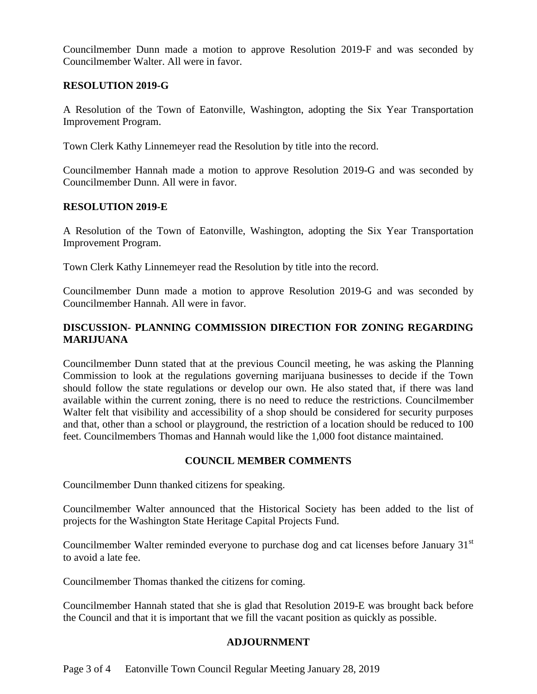Councilmember Dunn made a motion to approve Resolution 2019-F and was seconded by Councilmember Walter. All were in favor.

## **RESOLUTION 2019-G**

A Resolution of the Town of Eatonville, Washington, adopting the Six Year Transportation Improvement Program.

Town Clerk Kathy Linnemeyer read the Resolution by title into the record.

Councilmember Hannah made a motion to approve Resolution 2019-G and was seconded by Councilmember Dunn. All were in favor.

## **RESOLUTION 2019-E**

A Resolution of the Town of Eatonville, Washington, adopting the Six Year Transportation Improvement Program.

Town Clerk Kathy Linnemeyer read the Resolution by title into the record.

Councilmember Dunn made a motion to approve Resolution 2019-G and was seconded by Councilmember Hannah. All were in favor.

# **DISCUSSION- PLANNING COMMISSION DIRECTION FOR ZONING REGARDING MARIJUANA**

Councilmember Dunn stated that at the previous Council meeting, he was asking the Planning Commission to look at the regulations governing marijuana businesses to decide if the Town should follow the state regulations or develop our own. He also stated that, if there was land available within the current zoning, there is no need to reduce the restrictions. Councilmember Walter felt that visibility and accessibility of a shop should be considered for security purposes and that, other than a school or playground, the restriction of a location should be reduced to 100 feet. Councilmembers Thomas and Hannah would like the 1,000 foot distance maintained.

# **COUNCIL MEMBER COMMENTS**

Councilmember Dunn thanked citizens for speaking.

Councilmember Walter announced that the Historical Society has been added to the list of projects for the Washington State Heritage Capital Projects Fund.

Councilmember Walter reminded everyone to purchase dog and cat licenses before January 31<sup>st</sup> to avoid a late fee.

Councilmember Thomas thanked the citizens for coming.

Councilmember Hannah stated that she is glad that Resolution 2019-E was brought back before the Council and that it is important that we fill the vacant position as quickly as possible.

# **ADJOURNMENT**